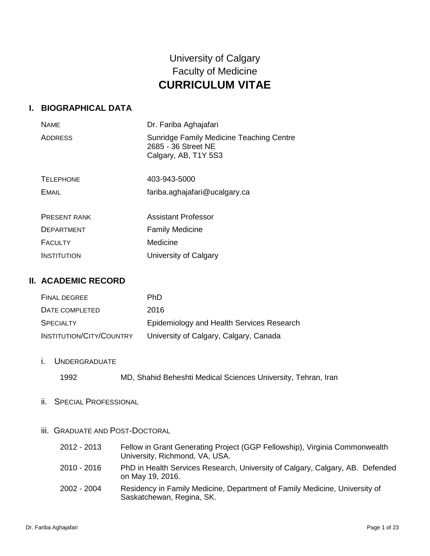# University of Calgary Faculty of Medicine **CURRICULUM VITAE**

### **I. BIOGRAPHICAL DATA**

| <b>NAME</b>         | Dr. Fariba Aghajafari                                                                   |
|---------------------|-----------------------------------------------------------------------------------------|
| <b>ADDRESS</b>      | Sunridge Family Medicine Teaching Centre<br>2685 - 36 Street NE<br>Calgary, AB, T1Y 5S3 |
| <b>TELEPHONE</b>    | 403-943-5000                                                                            |
| <b>EMAIL</b>        | fariba.aghajafari@ucalgary.ca                                                           |
|                     |                                                                                         |
| <b>PRESENT RANK</b> | <b>Assistant Professor</b>                                                              |
| <b>DEPARTMENT</b>   | <b>Family Medicine</b>                                                                  |
| <b>FACULTY</b>      | Medicine                                                                                |
| <b>INSTITUTION</b>  | University of Calgary                                                                   |

### **II. ACADEMIC RECORD**

| <b>FINAL DEGREE</b>      | PhD.                                      |
|--------------------------|-------------------------------------------|
| DATE COMPLETED           | 2016                                      |
| <b>SPECIALTY</b>         | Epidemiology and Health Services Research |
| INSTITUTION/CITY/COUNTRY | University of Calgary, Calgary, Canada    |

i. UNDERGRADUATE

| 1992 |  |  |  |  |  | MD, Shahid Beheshti Medical Sciences University, Tehran, Iran |  |  |
|------|--|--|--|--|--|---------------------------------------------------------------|--|--|
|------|--|--|--|--|--|---------------------------------------------------------------|--|--|

ii. SPECIAL PROFESSIONAL

### iii. GRADUATE AND POST-DOCTORAL

| 2012 - 2013 | Fellow in Grant Generating Project (GGP Fellowship), Virginia Commonwealth<br>University, Richmond, VA, USA. |
|-------------|--------------------------------------------------------------------------------------------------------------|
| 2010 - 2016 | PhD in Health Services Research, University of Calgary, Calgary, AB. Defended<br>on May 19, 2016.            |
| 2002 - 2004 | Residency in Family Medicine, Department of Family Medicine, University of<br>Saskatchewan, Regina, SK.      |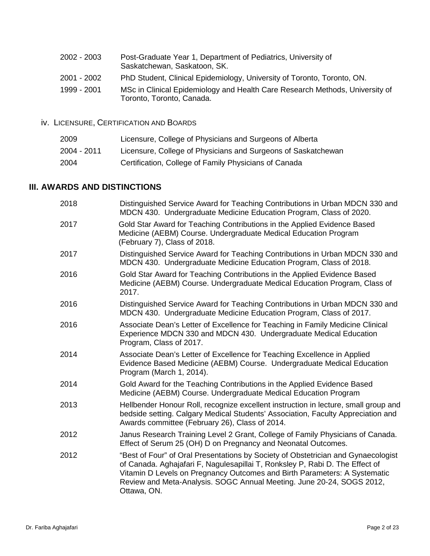| 2002 - 2003 | Post-Graduate Year 1, Department of Pediatrics, University of<br>Saskatchewan, Saskatoon, SK.             |
|-------------|-----------------------------------------------------------------------------------------------------------|
| 2001 - 2002 | PhD Student, Clinical Epidemiology, University of Toronto, Toronto, ON.                                   |
| 1999 - 2001 | MSc in Clinical Epidemiology and Health Care Research Methods, University of<br>Toronto, Toronto, Canada. |

iv. LICENSURE, CERTIFICATION AND BOARDS

| 2009        | Licensure, College of Physicians and Surgeons of Alberta      |
|-------------|---------------------------------------------------------------|
| 2004 - 2011 | Licensure, College of Physicians and Surgeons of Saskatchewan |
| 2004        | Certification, College of Family Physicians of Canada         |

# **III. AWARDS AND DISTINCTIONS**

| 2018 | Distinguished Service Award for Teaching Contributions in Urban MDCN 330 and<br>MDCN 430. Undergraduate Medicine Education Program, Class of 2020.                                                                                                                                                                                     |
|------|----------------------------------------------------------------------------------------------------------------------------------------------------------------------------------------------------------------------------------------------------------------------------------------------------------------------------------------|
| 2017 | Gold Star Award for Teaching Contributions in the Applied Evidence Based<br>Medicine (AEBM) Course. Undergraduate Medical Education Program<br>(February 7), Class of 2018.                                                                                                                                                            |
| 2017 | Distinguished Service Award for Teaching Contributions in Urban MDCN 330 and<br>MDCN 430. Undergraduate Medicine Education Program, Class of 2018.                                                                                                                                                                                     |
| 2016 | Gold Star Award for Teaching Contributions in the Applied Evidence Based<br>Medicine (AEBM) Course. Undergraduate Medical Education Program, Class of<br>2017.                                                                                                                                                                         |
| 2016 | Distinguished Service Award for Teaching Contributions in Urban MDCN 330 and<br>MDCN 430. Undergraduate Medicine Education Program, Class of 2017.                                                                                                                                                                                     |
| 2016 | Associate Dean's Letter of Excellence for Teaching in Family Medicine Clinical<br>Experience MDCN 330 and MDCN 430. Undergraduate Medical Education<br>Program, Class of 2017.                                                                                                                                                         |
| 2014 | Associate Dean's Letter of Excellence for Teaching Excellence in Applied<br>Evidence Based Medicine (AEBM) Course. Undergraduate Medical Education<br>Program (March 1, 2014).                                                                                                                                                         |
| 2014 | Gold Award for the Teaching Contributions in the Applied Evidence Based<br>Medicine (AEBM) Course. Undergraduate Medical Education Program                                                                                                                                                                                             |
| 2013 | Hellbender Honour Roll, recognize excellent instruction in lecture, small group and<br>bedside setting. Calgary Medical Students' Association, Faculty Appreciation and<br>Awards committee (February 26), Class of 2014.                                                                                                              |
| 2012 | Janus Research Training Level 2 Grant, College of Family Physicians of Canada.<br>Effect of Serum 25 (OH) D on Pregnancy and Neonatal Outcomes.                                                                                                                                                                                        |
| 2012 | "Best of Four" of Oral Presentations by Society of Obstetrician and Gynaecologist<br>of Canada. Aghajafari F, Nagulesapillai T, Ronksley P, Rabi D. The Effect of<br>Vitamin D Levels on Pregnancy Outcomes and Birth Parameters: A Systematic<br>Review and Meta-Analysis. SOGC Annual Meeting. June 20-24, SOGS 2012,<br>Ottawa, ON. |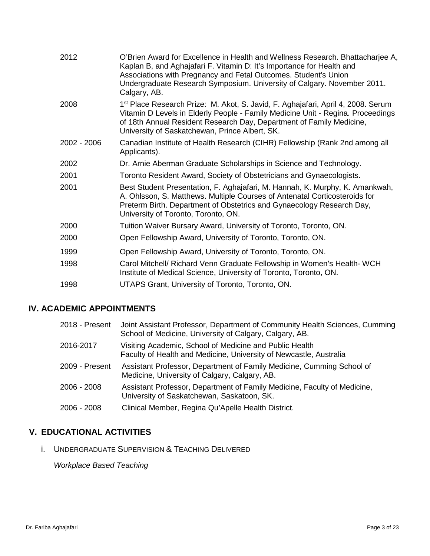| 2012        | O'Brien Award for Excellence in Health and Wellness Research. Bhattacharjee A,<br>Kaplan B, and Aghajafari F. Vitamin D: It's Importance for Health and<br>Associations with Pregnancy and Fetal Outcomes. Student's Union<br>Undergraduate Research Symposium. University of Calgary. November 2011.<br>Calgary, AB. |
|-------------|-----------------------------------------------------------------------------------------------------------------------------------------------------------------------------------------------------------------------------------------------------------------------------------------------------------------------|
| 2008        | 1 <sup>st</sup> Place Research Prize: M. Akot, S. Javid, F. Aghajafari, April 4, 2008. Serum<br>Vitamin D Levels in Elderly People - Family Medicine Unit - Regina. Proceedings<br>of 18th Annual Resident Research Day, Department of Family Medicine,<br>University of Saskatchewan, Prince Albert, SK.             |
| 2002 - 2006 | Canadian Institute of Health Research (CIHR) Fellowship (Rank 2nd among all<br>Applicants).                                                                                                                                                                                                                           |
| 2002        | Dr. Arnie Aberman Graduate Scholarships in Science and Technology.                                                                                                                                                                                                                                                    |
| 2001        | Toronto Resident Award, Society of Obstetricians and Gynaecologists.                                                                                                                                                                                                                                                  |
| 2001        | Best Student Presentation, F. Aghajafari, M. Hannah, K. Murphy, K. Amankwah,<br>A. Ohlsson, S. Matthews. Multiple Courses of Antenatal Corticosteroids for<br>Preterm Birth. Department of Obstetrics and Gynaecology Research Day,<br>University of Toronto, Toronto, ON.                                            |
| 2000        | Tuition Waiver Bursary Award, University of Toronto, Toronto, ON.                                                                                                                                                                                                                                                     |
| 2000        | Open Fellowship Award, University of Toronto, Toronto, ON.                                                                                                                                                                                                                                                            |
| 1999        | Open Fellowship Award, University of Toronto, Toronto, ON.                                                                                                                                                                                                                                                            |
| 1998        | Carol Mitchell/ Richard Venn Graduate Fellowship in Women's Health-WCH<br>Institute of Medical Science, University of Toronto, Toronto, ON.                                                                                                                                                                           |
| 1998        | UTAPS Grant, University of Toronto, Toronto, ON.                                                                                                                                                                                                                                                                      |

## **IV. ACADEMIC APPOINTMENTS**

| 2018 - Present | Joint Assistant Professor, Department of Community Health Sciences, Cumming<br>School of Medicine, University of Calgary, Calgary, AB. |
|----------------|----------------------------------------------------------------------------------------------------------------------------------------|
| 2016-2017      | Visiting Academic, School of Medicine and Public Health<br>Faculty of Health and Medicine, University of Newcastle, Australia          |
| 2009 - Present | Assistant Professor, Department of Family Medicine, Cumming School of<br>Medicine, University of Calgary, Calgary, AB.                 |
| $2006 - 2008$  | Assistant Professor, Department of Family Medicine, Faculty of Medicine,<br>University of Saskatchewan, Saskatoon, SK.                 |
| 2006 - 2008    | Clinical Member, Regina Qu'Apelle Health District.                                                                                     |

## **V. EDUCATIONAL ACTIVITIES**

i. UNDERGRADUATE SUPERVISION & TEACHING DELIVERED

*Workplace Based Teaching*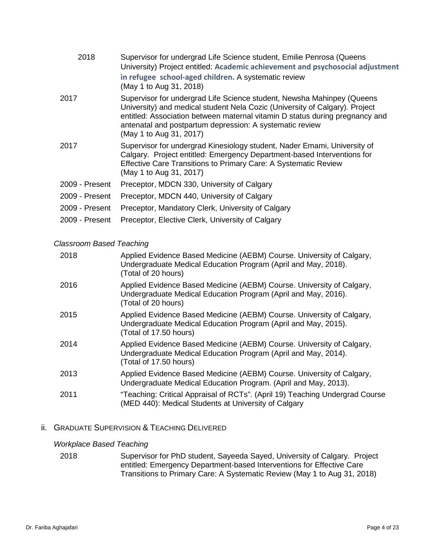| 2018           | Supervisor for undergrad Life Science student, Emilie Penrosa (Queens<br>University) Project entitled: Academic achievement and psychosocial adjustment<br>in refugee school-aged children. A systematic review<br>(May 1 to Aug 31, 2018)                                                                                   |
|----------------|------------------------------------------------------------------------------------------------------------------------------------------------------------------------------------------------------------------------------------------------------------------------------------------------------------------------------|
| 2017           | Supervisor for undergrad Life Science student, Newsha Mahinpey (Queens<br>University) and medical student Nela Cozic (University of Calgary). Project<br>entitled: Association between maternal vitamin D status during pregnancy and<br>antenatal and postpartum depression: A systematic review<br>(May 1 to Aug 31, 2017) |
| 2017           | Supervisor for undergrad Kinesiology student, Nader Emami, University of<br>Calgary. Project entitled: Emergency Department-based Interventions for<br>Effective Care Transitions to Primary Care: A Systematic Review<br>(May 1 to Aug 31, 2017)                                                                            |
| 2009 - Present | Preceptor, MDCN 330, University of Calgary                                                                                                                                                                                                                                                                                   |
| 2009 - Present | Preceptor, MDCN 440, University of Calgary                                                                                                                                                                                                                                                                                   |
| 2009 - Present | Preceptor, Mandatory Clerk, University of Calgary                                                                                                                                                                                                                                                                            |
| 2009 - Present | Preceptor, Elective Clerk, University of Calgary                                                                                                                                                                                                                                                                             |

#### *Classroom Based Teaching*

| 2018 | Applied Evidence Based Medicine (AEBM) Course. University of Calgary,<br>Undergraduate Medical Education Program (April and May, 2018).<br>(Total of 20 hours)    |
|------|-------------------------------------------------------------------------------------------------------------------------------------------------------------------|
| 2016 | Applied Evidence Based Medicine (AEBM) Course. University of Calgary,<br>Undergraduate Medical Education Program (April and May, 2016).<br>(Total of 20 hours)    |
| 2015 | Applied Evidence Based Medicine (AEBM) Course. University of Calgary,<br>Undergraduate Medical Education Program (April and May, 2015).<br>(Total of 17.50 hours) |
| 2014 | Applied Evidence Based Medicine (AEBM) Course. University of Calgary,<br>Undergraduate Medical Education Program (April and May, 2014).<br>(Total of 17.50 hours) |
| 2013 | Applied Evidence Based Medicine (AEBM) Course. University of Calgary,<br>Undergraduate Medical Education Program. (April and May, 2013).                          |
| 2011 | "Teaching: Critical Appraisal of RCTs". (April 19) Teaching Undergrad Course<br>(MED 440): Medical Students at University of Calgary                              |

### ii. GRADUATE SUPERVISION & TEACHING DELIVERED

### *Workplace Based Teaching*

| 2018 | Supervisor for PhD student, Sayeeda Sayed, University of Calgary. Project |
|------|---------------------------------------------------------------------------|
|      | entitled: Emergency Department-based Interventions for Effective Care     |
|      | Transitions to Primary Care: A Systematic Review (May 1 to Aug 31, 2018)  |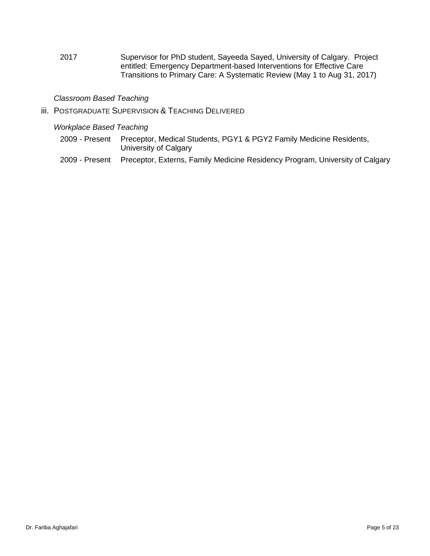2017 Supervisor for PhD student, Sayeeda Sayed, University of Calgary. Project entitled: Emergency Department-based Interventions for Effective Care Transitions to Primary Care: A Systematic Review (May 1 to Aug 31, 2017)

#### *Classroom Based Teaching*

iii. POSTGRADUATE SUPERVISION & TEACHING DELIVERED

#### *Workplace Based Teaching*

- 2009 Present Preceptor, Medical Students, PGY1 & PGY2 Family Medicine Residents, University of Calgary
- 2009 Present Preceptor, Externs, Family Medicine Residency Program, University of Calgary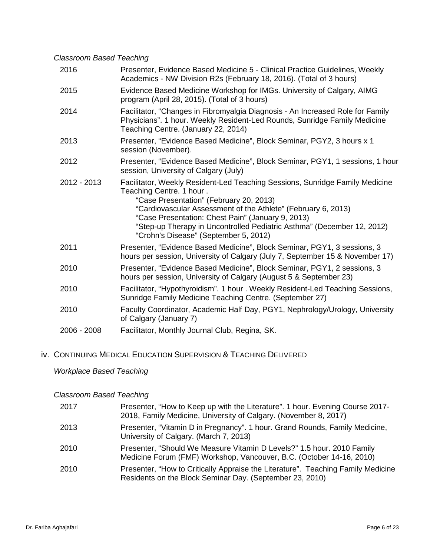#### *Classroom Based Teaching*

| 2016        | Presenter, Evidence Based Medicine 5 - Clinical Practice Guidelines, Weekly<br>Academics - NW Division R2s (February 18, 2016). (Total of 3 hours)                                                                                                                                                                                                                                           |
|-------------|----------------------------------------------------------------------------------------------------------------------------------------------------------------------------------------------------------------------------------------------------------------------------------------------------------------------------------------------------------------------------------------------|
| 2015        | Evidence Based Medicine Workshop for IMGs. University of Calgary, AIMG<br>program (April 28, 2015). (Total of 3 hours)                                                                                                                                                                                                                                                                       |
| 2014        | Facilitator, "Changes in Fibromyalgia Diagnosis - An Increased Role for Family<br>Physicians". 1 hour. Weekly Resident-Led Rounds, Sunridge Family Medicine<br>Teaching Centre. (January 22, 2014)                                                                                                                                                                                           |
| 2013        | Presenter, "Evidence Based Medicine", Block Seminar, PGY2, 3 hours x 1<br>session (November).                                                                                                                                                                                                                                                                                                |
| 2012        | Presenter, "Evidence Based Medicine", Block Seminar, PGY1, 1 sessions, 1 hour<br>session, University of Calgary (July)                                                                                                                                                                                                                                                                       |
| 2012 - 2013 | Facilitator, Weekly Resident-Led Teaching Sessions, Sunridge Family Medicine<br>Teaching Centre. 1 hour.<br>"Case Presentation" (February 20, 2013)<br>"Cardiovascular Assessment of the Athlete" (February 6, 2013)<br>"Case Presentation: Chest Pain" (January 9, 2013)<br>"Step-up Therapy in Uncontrolled Pediatric Asthma" (December 12, 2012)<br>"Crohn's Disease" (September 5, 2012) |
| 2011        | Presenter, "Evidence Based Medicine", Block Seminar, PGY1, 3 sessions, 3<br>hours per session, University of Calgary (July 7, September 15 & November 17)                                                                                                                                                                                                                                    |
| 2010        | Presenter, "Evidence Based Medicine", Block Seminar, PGY1, 2 sessions, 3<br>hours per session, University of Calgary (August 5 & September 23)                                                                                                                                                                                                                                               |
| 2010        | Facilitator, "Hypothyroidism". 1 hour. Weekly Resident-Led Teaching Sessions,<br>Sunridge Family Medicine Teaching Centre. (September 27)                                                                                                                                                                                                                                                    |
| 2010        | Faculty Coordinator, Academic Half Day, PGY1, Nephrology/Urology, University<br>of Calgary (January 7)                                                                                                                                                                                                                                                                                       |
| 2006 - 2008 | Facilitator, Monthly Journal Club, Regina, SK.                                                                                                                                                                                                                                                                                                                                               |
|             |                                                                                                                                                                                                                                                                                                                                                                                              |

## iv. CONTINUING MEDICAL EDUCATION SUPERVISION & TEACHING DELIVERED

### *Workplace Based Teaching*

### *Classroom Based Teaching*

| 2017 | Presenter, "How to Keep up with the Literature". 1 hour. Evening Course 2017-<br>2018, Family Medicine, University of Calgary. (November 8, 2017) |
|------|---------------------------------------------------------------------------------------------------------------------------------------------------|
| 2013 | Presenter, "Vitamin D in Pregnancy". 1 hour. Grand Rounds, Family Medicine,<br>University of Calgary. (March 7, 2013)                             |
| 2010 | Presenter, "Should We Measure Vitamin D Levels?" 1.5 hour. 2010 Family<br>Medicine Forum (FMF) Workshop, Vancouver, B.C. (October 14-16, 2010)    |
| 2010 | Presenter, "How to Critically Appraise the Literature". Teaching Family Medicine<br>Residents on the Block Seminar Day. (September 23, 2010)      |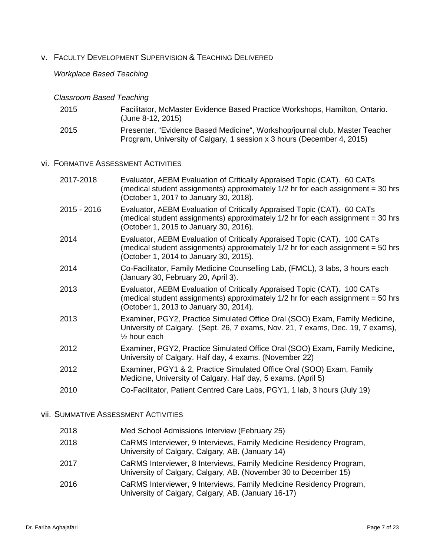# v. FACULTY DEVELOPMENT SUPERVISION & TEACHING DELIVERED

#### *Workplace Based Teaching*

### *Classroom Based Teaching*

| 2015 | Facilitator, McMaster Evidence Based Practice Workshops, Hamilton, Ontario.<br>(June 8-12, 2015)                                                      |
|------|-------------------------------------------------------------------------------------------------------------------------------------------------------|
| 2015 | Presenter, "Evidence Based Medicine", Workshop/journal club, Master Teacher<br>Program, University of Calgary, 1 session x 3 hours (December 4, 2015) |

### vi. FORMATIVE ASSESSMENT ACTIVITIES

| 2017-2018   | Evaluator, AEBM Evaluation of Critically Appraised Topic (CAT). 60 CATs<br>(medical student assignments) approximately 1/2 hr for each assignment = 30 hrs<br>(October 1, 2017 to January 30, 2018).  |
|-------------|-------------------------------------------------------------------------------------------------------------------------------------------------------------------------------------------------------|
| 2015 - 2016 | Evaluator, AEBM Evaluation of Critically Appraised Topic (CAT). 60 CATs<br>(medical student assignments) approximately 1/2 hr for each assignment = 30 hrs<br>(October 1, 2015 to January 30, 2016).  |
| 2014        | Evaluator, AEBM Evaluation of Critically Appraised Topic (CAT). 100 CATs<br>(medical student assignments) approximately 1/2 hr for each assignment = 50 hrs<br>(October 1, 2014 to January 30, 2015). |
| 2014        | Co-Facilitator, Family Medicine Counselling Lab, (FMCL), 3 labs, 3 hours each<br>(January 30, February 20, April 3).                                                                                  |
| 2013        | Evaluator, AEBM Evaluation of Critically Appraised Topic (CAT). 100 CATs<br>(medical student assignments) approximately 1/2 hr for each assignment = 50 hrs<br>(October 1, 2013 to January 30, 2014). |
| 2013        | Examiner, PGY2, Practice Simulated Office Oral (SOO) Exam, Family Medicine,<br>University of Calgary. (Sept. 26, 7 exams, Nov. 21, 7 exams, Dec. 19, 7 exams),<br>$\frac{1}{2}$ hour each             |
| 2012        | Examiner, PGY2, Practice Simulated Office Oral (SOO) Exam, Family Medicine,<br>University of Calgary. Half day, 4 exams. (November 22)                                                                |
| 2012        | Examiner, PGY1 & 2, Practice Simulated Office Oral (SOO) Exam, Family<br>Medicine, University of Calgary. Half day, 5 exams. (April 5)                                                                |
| 2010        | Co-Facilitator, Patient Centred Care Labs, PGY1, 1 lab, 3 hours (July 19)                                                                                                                             |

#### vii. SUMMATIVE ASSESSMENT ACTIVITIES

| 2018 | Med School Admissions Interview (February 25)                                                                                           |
|------|-----------------------------------------------------------------------------------------------------------------------------------------|
| 2018 | CaRMS Interviewer, 9 Interviews, Family Medicine Residency Program,<br>University of Calgary, Calgary, AB. (January 14)                 |
| 2017 | CaRMS Interviewer, 8 Interviews, Family Medicine Residency Program,<br>University of Calgary, Calgary, AB. (November 30 to December 15) |
| 2016 | CaRMS Interviewer, 9 Interviews, Family Medicine Residency Program,<br>University of Calgary, Calgary, AB. (January 16-17)              |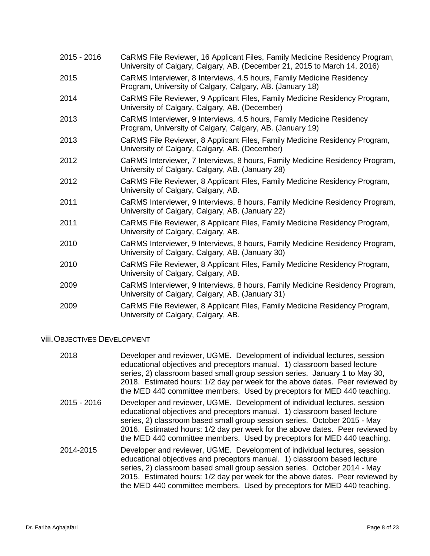- 2015 2016 CaRMS File Reviewer, 16 Applicant Files, Family Medicine Residency Program, University of Calgary, Calgary, AB. (December 21, 2015 to March 14, 2016)
- 2015 CaRMS Interviewer, 8 Interviews, 4.5 hours, Family Medicine Residency Program, University of Calgary, Calgary, AB. (January 18)
- 2014 CaRMS File Reviewer, 9 Applicant Files, Family Medicine Residency Program, University of Calgary, Calgary, AB. (December)
- 2013 CaRMS Interviewer, 9 Interviews, 4.5 hours, Family Medicine Residency Program, University of Calgary, Calgary, AB. (January 19)
- 2013 CaRMS File Reviewer, 8 Applicant Files, Family Medicine Residency Program, University of Calgary, Calgary, AB. (December)
- 2012 CaRMS Interviewer, 7 Interviews, 8 hours, Family Medicine Residency Program, University of Calgary, Calgary, AB. (January 28)
- 2012 CaRMS File Reviewer, 8 Applicant Files, Family Medicine Residency Program, University of Calgary, Calgary, AB.
- 2011 CaRMS Interviewer, 9 Interviews, 8 hours, Family Medicine Residency Program, University of Calgary, Calgary, AB. (January 22)
- 2011 CaRMS File Reviewer, 8 Applicant Files, Family Medicine Residency Program, University of Calgary, Calgary, AB.
- 2010 CaRMS Interviewer, 9 Interviews, 8 hours, Family Medicine Residency Program, University of Calgary, Calgary, AB. (January 30)
- 2010 CaRMS File Reviewer, 8 Applicant Files, Family Medicine Residency Program, University of Calgary, Calgary, AB.
- 2009 CaRMS Interviewer, 9 Interviews, 8 hours, Family Medicine Residency Program, University of Calgary, Calgary, AB. (January 31)
- 2009 CaRMS File Reviewer, 8 Applicant Files, Family Medicine Residency Program, University of Calgary, Calgary, AB.

#### viii.OBJECTIVES DEVELOPMENT

| 2018        | Developer and reviewer, UGME. Development of individual lectures, session<br>educational objectives and preceptors manual. 1) classroom based lecture<br>series, 2) classroom based small group session series. January 1 to May 30,<br>2018. Estimated hours: 1/2 day per week for the above dates. Peer reviewed by<br>the MED 440 committee members. Used by preceptors for MED 440 teaching. |
|-------------|--------------------------------------------------------------------------------------------------------------------------------------------------------------------------------------------------------------------------------------------------------------------------------------------------------------------------------------------------------------------------------------------------|
| 2015 - 2016 | Developer and reviewer, UGME. Development of individual lectures, session<br>educational objectives and preceptors manual. 1) classroom based lecture<br>series, 2) classroom based small group session series. October 2015 - May<br>2016. Estimated hours: 1/2 day per week for the above dates. Peer reviewed by<br>the MED 440 committee members. Used by preceptors for MED 440 teaching.   |
| 2014-2015   | Developer and reviewer, UGME. Development of individual lectures, session<br>educational objectives and preceptors manual. 1) classroom based lecture<br>series, 2) classroom based small group session series. October 2014 - May<br>2015. Estimated hours: 1/2 day per week for the above dates. Peer reviewed by<br>the MED 440 committee members. Used by preceptors for MED 440 teaching.   |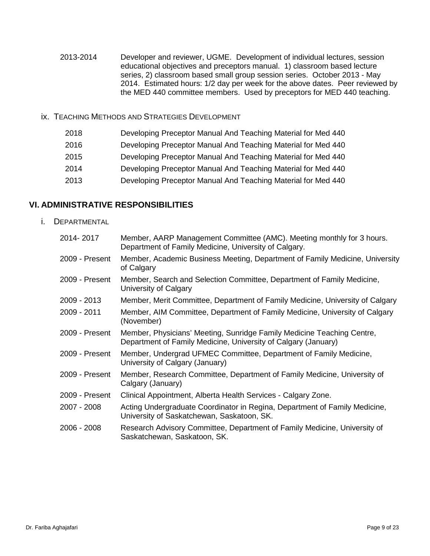- 2013-2014 Developer and reviewer, UGME. Development of individual lectures, session educational objectives and preceptors manual. 1) classroom based lecture series, 2) classroom based small group session series. October 2013 - May 2014. Estimated hours: 1/2 day per week for the above dates. Peer reviewed by the MED 440 committee members. Used by preceptors for MED 440 teaching.
- ix. TEACHING METHODS AND STRATEGIES DEVELOPMENT
	- 2018 Developing Preceptor Manual And Teaching Material for Med 440
	- 2016 Developing Preceptor Manual And Teaching Material for Med 440
	- 2015 Developing Preceptor Manual And Teaching Material for Med 440
	- 2014 Developing Preceptor Manual And Teaching Material for Med 440
	- 2013 Developing Preceptor Manual And Teaching Material for Med 440

#### **VI. ADMINISTRATIVE RESPONSIBILITIES**

i. DEPARTMENTAL

| 2014-2017      | Member, AARP Management Committee (AMC). Meeting monthly for 3 hours.<br>Department of Family Medicine, University of Calgary.           |
|----------------|------------------------------------------------------------------------------------------------------------------------------------------|
| 2009 - Present | Member, Academic Business Meeting, Department of Family Medicine, University<br>of Calgary                                               |
| 2009 - Present | Member, Search and Selection Committee, Department of Family Medicine,<br>University of Calgary                                          |
| 2009 - 2013    | Member, Merit Committee, Department of Family Medicine, University of Calgary                                                            |
| 2009 - 2011    | Member, AIM Committee, Department of Family Medicine, University of Calgary<br>(November)                                                |
| 2009 - Present | Member, Physicians' Meeting, Sunridge Family Medicine Teaching Centre,<br>Department of Family Medicine, University of Calgary (January) |
| 2009 - Present | Member, Undergrad UFMEC Committee, Department of Family Medicine,<br>University of Calgary (January)                                     |
| 2009 - Present | Member, Research Committee, Department of Family Medicine, University of<br>Calgary (January)                                            |
| 2009 - Present | Clinical Appointment, Alberta Health Services - Calgary Zone.                                                                            |
| 2007 - 2008    | Acting Undergraduate Coordinator in Regina, Department of Family Medicine,<br>University of Saskatchewan, Saskatoon, SK.                 |
| 2006 - 2008    | Research Advisory Committee, Department of Family Medicine, University of<br>Saskatchewan, Saskatoon, SK.                                |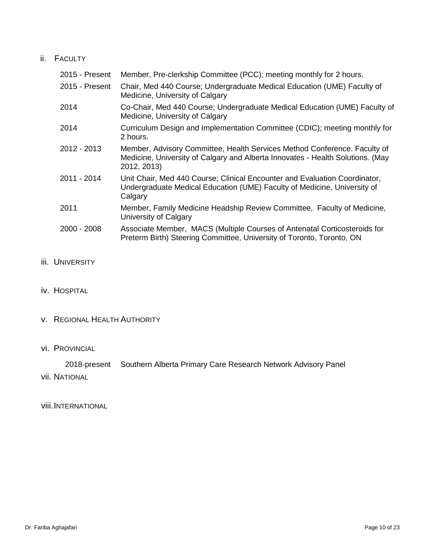#### ii. FACULTY

| 2015 - Present | Member, Pre-clerkship Committee (PCC); meeting monthly for 2 hours.                                                                                                        |
|----------------|----------------------------------------------------------------------------------------------------------------------------------------------------------------------------|
| 2015 - Present | Chair, Med 440 Course; Undergraduate Medical Education (UME) Faculty of<br>Medicine, University of Calgary                                                                 |
| 2014           | Co-Chair, Med 440 Course; Undergraduate Medical Education (UME) Faculty of<br>Medicine, University of Calgary                                                              |
| 2014           | Curriculum Design and Implementation Committee (CDIC); meeting monthly for<br>2 hours.                                                                                     |
| 2012 - 2013    | Member, Advisory Committee, Health Services Method Conference. Faculty of<br>Medicine, University of Calgary and Alberta Innovates - Health Solutions. (May<br>2012, 2013) |
| 2011 - 2014    | Unit Chair, Med 440 Course; Clinical Encounter and Evaluation Coordinator,<br>Undergraduate Medical Education (UME) Faculty of Medicine, University of<br>Calgary          |
| 2011           | Member, Family Medicine Headship Review Committee, Faculty of Medicine,<br>University of Calgary                                                                           |
| $2000 - 2008$  | Associate Member, MACS (Multiple Courses of Antenatal Corticosteroids for<br>Preterm Birth) Steering Committee, University of Toronto, Toronto, ON                         |

- **iii.** UNIVERSITY
- iv. HOSPITAL
- v. REGIONAL HEALTH AUTHORITY
- vi. PROVINCIAL

2018-present Southern Alberta Primary Care Research Network Advisory Panel vii. NATIONAL

viii.INTERNATIONAL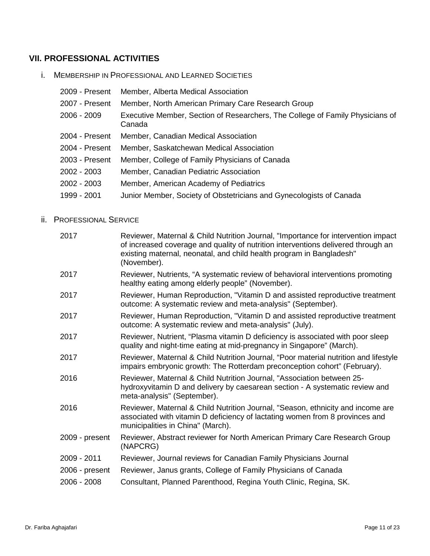### **VII. PROFESSIONAL ACTIVITIES**

i. MEMBERSHIP IN PROFESSIONAL AND LEARNED SOCIETIES

| 2009 - Present | Member, Alberta Medical Association                                                     |
|----------------|-----------------------------------------------------------------------------------------|
| 2007 - Present | Member, North American Primary Care Research Group                                      |
| 2006 - 2009    | Executive Member, Section of Researchers, The College of Family Physicians of<br>Canada |
| 2004 - Present | Member, Canadian Medical Association                                                    |
| 2004 - Present | Member, Saskatchewan Medical Association                                                |
| 2003 - Present | Member, College of Family Physicians of Canada                                          |
| 2002 - 2003    | Member, Canadian Pediatric Association                                                  |
| 2002 - 2003    | Member, American Academy of Pediatrics                                                  |
| 1999 - 2001    | Junior Member, Society of Obstetricians and Gynecologists of Canada                     |

#### ii. PROFESSIONAL SERVICE

| Reviewer, Maternal & Child Nutrition Journal, "Importance for intervention impact<br>of increased coverage and quality of nutrition interventions delivered through an<br>existing maternal, neonatal, and child health program in Bangladesh"<br>(November). |
|---------------------------------------------------------------------------------------------------------------------------------------------------------------------------------------------------------------------------------------------------------------|
| Reviewer, Nutrients, "A systematic review of behavioral interventions promoting<br>healthy eating among elderly people" (November).                                                                                                                           |
| Reviewer, Human Reproduction, "Vitamin D and assisted reproductive treatment<br>outcome: A systematic review and meta-analysis" (September).                                                                                                                  |
| Reviewer, Human Reproduction, "Vitamin D and assisted reproductive treatment<br>outcome: A systematic review and meta-analysis" (July).                                                                                                                       |
| Reviewer, Nutrient, "Plasma vitamin D deficiency is associated with poor sleep<br>quality and night-time eating at mid-pregnancy in Singapore" (March).                                                                                                       |
| Reviewer, Maternal & Child Nutrition Journal, "Poor material nutrition and lifestyle<br>impairs embryonic growth: The Rotterdam preconception cohort" (February).                                                                                             |
| Reviewer, Maternal & Child Nutrition Journal, "Association between 25-<br>hydroxyvitamin D and delivery by caesarean section - A systematic review and<br>meta-analysis" (September).                                                                         |
| Reviewer, Maternal & Child Nutrition Journal, "Season, ethnicity and income are<br>associated with vitamin D deficiency of lactating women from 8 provinces and<br>municipalities in China" (March).                                                          |
| Reviewer, Abstract reviewer for North American Primary Care Research Group<br>(NAPCRG)                                                                                                                                                                        |
| Reviewer, Journal reviews for Canadian Family Physicians Journal                                                                                                                                                                                              |
| Reviewer, Janus grants, College of Family Physicians of Canada                                                                                                                                                                                                |
| Consultant, Planned Parenthood, Regina Youth Clinic, Regina, SK.                                                                                                                                                                                              |
|                                                                                                                                                                                                                                                               |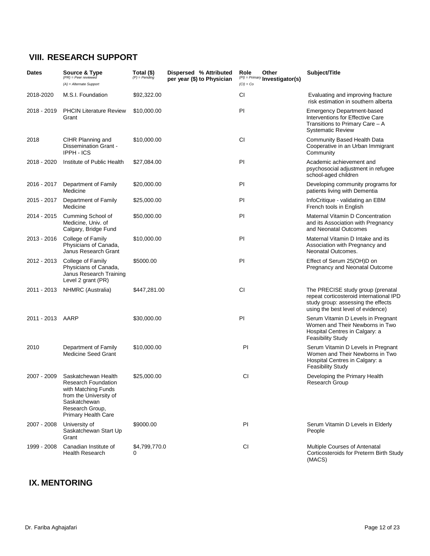## **VIII. RESEARCH SUPPORT**

| <b>Dates</b>     | Source & Type<br>$(PR) = Peer$ reviewed<br>$(A)$ = Alternate Support                                                                                  | Total (\$)<br>$(P)$ = Pending | Dispersed % Attributed<br>per year (\$) to Physician | Other<br>Role<br>$(PI) = Primary$ Investigator(s)<br>$(Cl) = Co$ | Subject/Title                                                                                                                                           |
|------------------|-------------------------------------------------------------------------------------------------------------------------------------------------------|-------------------------------|------------------------------------------------------|------------------------------------------------------------------|---------------------------------------------------------------------------------------------------------------------------------------------------------|
| 2018-2020        | M.S.I. Foundation                                                                                                                                     | \$92,322.00                   |                                                      | СI                                                               | Evaluating and improving fracture<br>risk estimation in southern alberta                                                                                |
| 2018 - 2019      | <b>PHCIN Literature Review</b><br>Grant                                                                                                               | \$10,000.00                   |                                                      | PI                                                               | <b>Emergency Department-based</b><br>Interventions for Effective Care<br>Transitions to Primary Care – A<br><b>Systematic Review</b>                    |
| 2018             | CIHR Planning and<br>Dissemination Grant -<br><b>IPPH - ICS</b>                                                                                       | \$10,000.00                   |                                                      | СI                                                               | Community Based Health Data<br>Cooperative in an Urban Immigrant<br>Community                                                                           |
| 2018 - 2020      | Institute of Public Health                                                                                                                            | \$27,084.00                   |                                                      | PI                                                               | Academic achievement and<br>psychosocial adjustment in refugee<br>school-aged children                                                                  |
| 2016 - 2017      | Department of Family<br>Medicine                                                                                                                      | \$20,000.00                   |                                                      | PI                                                               | Developing community programs for<br>patients living with Dementia                                                                                      |
| 2015 - 2017      | Department of Family<br>Medicine                                                                                                                      | \$25,000.00                   |                                                      | PI                                                               | InfoCritique - validating an EBM<br>French tools in English                                                                                             |
| 2014 - 2015      | Cumming School of<br>Medicine, Univ. of<br>Calgary, Bridge Fund                                                                                       | \$50,000.00                   |                                                      | PI                                                               | Maternal Vitamin D Concentration<br>and its Association with Pregnancy<br>and Neonatal Outcomes                                                         |
| 2013 - 2016      | College of Family<br>Physicians of Canada,<br>Janus Research Grant                                                                                    | \$10,000.00                   |                                                      | PI                                                               | Maternal Vitamin D Intake and its<br>Association with Pregnancy and<br>Neonatal Outcomes.                                                               |
| 2012 - 2013      | College of Family<br>Physicians of Canada,<br>Janus Research Training<br>Level 2 grant (PR)                                                           | \$5000.00                     |                                                      | PI                                                               | Effect of Serum 25(OH)D on<br>Pregnancy and Neonatal Outcome                                                                                            |
| 2011 - 2013      | NHMRC (Australia)                                                                                                                                     | \$447,281.00                  |                                                      | <b>CI</b>                                                        | The PRECISE study group (prenatal<br>repeat corticosteroid international IPD<br>study group: assessing the effects<br>using the best level of evidence) |
| 2011 - 2013 AARP |                                                                                                                                                       | \$30,000.00                   |                                                      | PI                                                               | Serum Vitamin D Levels in Pregnant<br>Women and Their Newborns in Two<br>Hospital Centres in Calgary: a<br><b>Feasibility Study</b>                     |
| 2010             | Department of Family<br><b>Medicine Seed Grant</b>                                                                                                    | \$10,000.00                   |                                                      | PI                                                               | Serum Vitamin D Levels in Pregnant<br>Women and Their Newborns in Two<br>Hospital Centres in Calgary: a<br><b>Feasibility Study</b>                     |
| 2007 - 2009      | Saskatchewan Health<br>Research Foundation<br>with Matching Funds<br>from the University of<br>Saskatchewan<br>Research Group,<br>Primary Health Care | \$25,000.00                   |                                                      | CI                                                               | Developing the Primary Health<br>Research Group                                                                                                         |
| 2007 - 2008      | University of<br>Saskatchewan Start Up<br>Grant                                                                                                       | \$9000.00                     |                                                      | PI                                                               | Serum Vitamin D Levels in Elderly<br>People                                                                                                             |
| 1999 - 2008      | Canadian Institute of<br><b>Health Research</b>                                                                                                       | \$4,799,770.0<br>0            |                                                      | CI.                                                              | Multiple Courses of Antenatal<br>Corticosteroids for Preterm Birth Study<br>(MACS)                                                                      |

### **IX. MENTORING**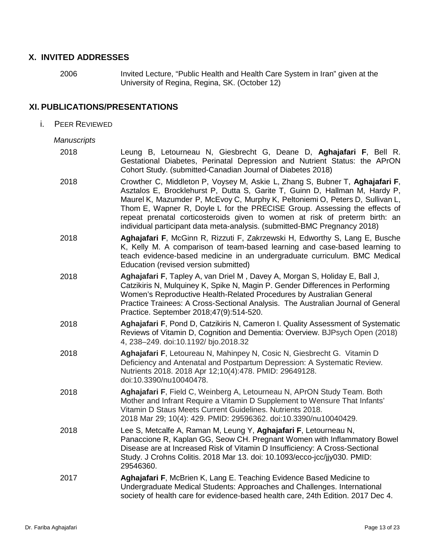#### **X. INVITED ADDRESSES**

2006 Invited Lecture, "Public Health and Health Care System in Iran" given at the University of Regina, Regina, SK. (October 12)

### **XI. PUBLICATIONS/PRESENTATIONS**

i. PEER REVIEWED

#### *Manuscripts*

| 2018 | Leung B, Letourneau N, Giesbrecht G, Deane D, Aghajafari F, Bell R.<br>Gestational Diabetes, Perinatal Depression and Nutrient Status: the APrON<br>Cohort Study. (submitted-Canadian Journal of Diabetes 2018)                                                                                                                                                                                                                                                                       |
|------|---------------------------------------------------------------------------------------------------------------------------------------------------------------------------------------------------------------------------------------------------------------------------------------------------------------------------------------------------------------------------------------------------------------------------------------------------------------------------------------|
| 2018 | Crowther C, Middleton P, Voysey M, Askie L, Zhang S, Bubner T, Aghajafari F,<br>Asztalos E, Brocklehurst P, Dutta S, Garite T, Guinn D, Hallman M, Hardy P,<br>Maurel K, Mazumder P, McEvoy C, Murphy K, Peltoniemi O, Peters D, Sullivan L,<br>Thom E, Wapner R, Doyle L for the PRECISE Group. Assessing the effects of<br>repeat prenatal corticosteroids given to women at risk of preterm birth: an<br>individual participant data meta-analysis. (submitted-BMC Pregnancy 2018) |
| 2018 | Aghajafari F, McGinn R, Rizzuti F, Zakrzewski H, Edworthy S, Lang E, Busche<br>K, Kelly M. A comparison of team-based learning and case-based learning to<br>teach evidence-based medicine in an undergraduate curriculum. BMC Medical<br>Education (revised version submitted)                                                                                                                                                                                                       |
| 2018 | Aghajafari F, Tapley A, van Driel M, Davey A, Morgan S, Holiday E, Ball J,<br>Catzikiris N, Mulquiney K, Spike N, Magin P. Gender Differences in Performing<br>Women's Reproductive Health-Related Procedures by Australian General<br>Practice Trainees: A Cross-Sectional Analysis. The Australian Journal of General<br>Practice. September 2018;47(9):514-520.                                                                                                                    |
| 2018 | Aghajafari F, Pond D, Catzikiris N, Cameron I. Quality Assessment of Systematic<br>Reviews of Vitamin D, Cognition and Dementia: Overview. BJPsych Open (2018)<br>4, 238-249. doi:10.1192/ bjo.2018.32                                                                                                                                                                                                                                                                                |
| 2018 | Aghajafari F, Letoureau N, Mahinpey N, Cosic N, Giesbrecht G. Vitamin D<br>Deficiency and Antenatal and Postpartum Depression: A Systematic Review.<br>Nutrients 2018. 2018 Apr 12;10(4):478. PMID: 29649128.<br>doi:10.3390/nu10040478.                                                                                                                                                                                                                                              |
| 2018 | Aghajafari F, Field C, Weinberg A, Letourneau N, APrON Study Team. Both<br>Mother and Infrant Require a Vitamin D Supplement to Wensure That Infants'<br>Vitamin D Staus Meets Current Guidelines. Nutrients 2018.<br>2018 Mar 29; 10(4): 429. PMID: 29596362. doi:10.3390/nu10040429.                                                                                                                                                                                                |
| 2018 | Lee S, Metcalfe A, Raman M, Leung Y, Aghajafari F, Letourneau N,<br>Panaccione R, Kaplan GG, Seow CH. Pregnant Women with Inflammatory Bowel<br>Disease are at Increased Risk of Vitamin D Insufficiency: A Cross-Sectional<br>Study. J Crohns Colitis. 2018 Mar 13. doi: 10.1093/ecco-jcc/jjy030. PMID:<br>29546360.                                                                                                                                                                 |
| 2017 | Aghajafari F, McBrien K, Lang E. Teaching Evidence Based Medicine to<br>Undergraduate Medical Students: Approaches and Challenges. International<br>society of health care for evidence-based health care, 24th Edition. 2017 Dec 4.                                                                                                                                                                                                                                                  |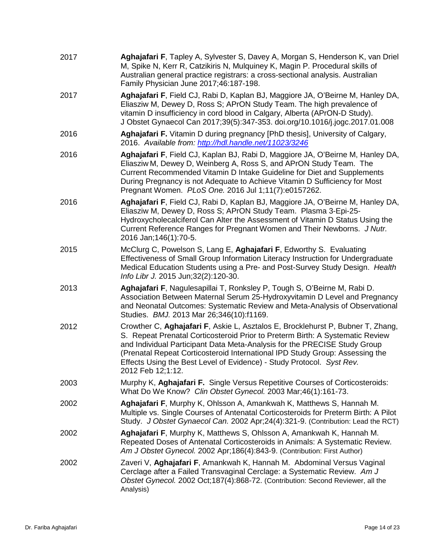| 2017 | Aghajafari F, Tapley A, Sylvester S, Davey A, Morgan S, Henderson K, van Driel<br>M, Spike N, Kerr R, Catzikiris N, Mulquiney K, Magin P. Procedural skills of<br>Australian general practice registrars: a cross-sectional analysis. Australian<br>Family Physician June 2017;46:187-198.                                                                                                                                  |
|------|-----------------------------------------------------------------------------------------------------------------------------------------------------------------------------------------------------------------------------------------------------------------------------------------------------------------------------------------------------------------------------------------------------------------------------|
| 2017 | Aghajafari F, Field CJ, Rabi D, Kaplan BJ, Maggiore JA, O'Beirne M, Hanley DA,<br>Eliasziw M, Dewey D, Ross S; APrON Study Team. The high prevalence of<br>vitamin D insufficiency in cord blood in Calgary, Alberta (APrON-D Study).<br>J Obstet Gynaecol Can 2017;39(5):347-353. doi.org/10.1016/j.jogc.2017.01.008                                                                                                       |
| 2016 | Aghajafari F. Vitamin D during pregnancy [PhD thesis], University of Calgary,<br>2016. Available from: http://hdl.handle.net/11023/3246                                                                                                                                                                                                                                                                                     |
| 2016 | Aghajafari F, Field CJ, Kaplan BJ, Rabi D, Maggiore JA, O'Beirne M, Hanley DA,<br>Eliasziw M, Dewey D, Weinberg A, Ross S, and APrON Study Team. The<br>Current Recommended Vitamin D Intake Guideline for Diet and Supplements<br>During Pregnancy is not Adequate to Achieve Vitamin D Sufficiency for Most<br>Pregnant Women. PLoS One. 2016 Jul 1;11(7):e0157262.                                                       |
| 2016 | Aghajafari F, Field CJ, Rabi D, Kaplan BJ, Maggiore JA, O'Beirne M, Hanley DA,<br>Eliasziw M, Dewey D, Ross S; APrON Study Team. Plasma 3-Epi-25-<br>Hydroxycholecalciferol Can Alter the Assessment of Vitamin D Status Using the<br>Current Reference Ranges for Pregnant Women and Their Newborns. J Nutr.<br>2016 Jan; 146(1): 70-5.                                                                                    |
| 2015 | McClurg C, Powelson S, Lang E, Aghajafari F, Edworthy S. Evaluating<br>Effectiveness of Small Group Information Literacy Instruction for Undergraduate<br>Medical Education Students using a Pre- and Post-Survey Study Design. Health<br>Info Libr J. 2015 Jun; 32(2): 120-30.                                                                                                                                             |
| 2013 | Aghajafari F, Nagulesapillai T, Ronksley P, Tough S, O'Beirne M, Rabi D.<br>Association Between Maternal Serum 25-Hydroxyvitamin D Level and Pregnancy<br>and Neonatal Outcomes: Systematic Review and Meta-Analysis of Observational<br>Studies. BMJ. 2013 Mar 26;346(10):f1169.                                                                                                                                           |
| 2012 | Crowther C, Aghajafari F, Askie L, Asztalos E, Brocklehurst P, Bubner T, Zhang,<br>S. Repeat Prenatal Corticosteroid Prior to Preterm Birth: A Systematic Review<br>and Individual Participant Data Meta-Analysis for the PRECISE Study Group<br>(Prenatal Repeat Corticosteroid International IPD Study Group: Assessing the<br>Effects Using the Best Level of Evidence) - Study Protocol. Syst Rev.<br>2012 Feb 12;1:12. |
| 2003 | Murphy K, Aghajafari F. Single Versus Repetitive Courses of Corticosteroids:<br>What Do We Know? Clin Obstet Gynecol. 2003 Mar;46(1):161-73.                                                                                                                                                                                                                                                                                |
| 2002 | Aghajafari F, Murphy K, Ohlsson A, Amankwah K, Matthews S, Hannah M.<br>Multiple vs. Single Courses of Antenatal Corticosteroids for Preterm Birth: A Pilot<br>Study. J Obstet Gynaecol Can. 2002 Apr;24(4):321-9. (Contribution: Lead the RCT)                                                                                                                                                                             |
| 2002 | Aghajafari F, Murphy K, Matthews S, Ohlsson A, Amankwah K, Hannah M.<br>Repeated Doses of Antenatal Corticosteroids in Animals: A Systematic Review.<br>Am J Obstet Gynecol. 2002 Apr;186(4):843-9. (Contribution: First Author)                                                                                                                                                                                            |
| 2002 | Zaveri V, Aghajafari F, Amankwah K, Hannah M. Abdominal Versus Vaginal<br>Cerclage after a Failed Transvaginal Cerclage: a Systematic Review. Am J<br>Obstet Gynecol. 2002 Oct;187(4):868-72. (Contribution: Second Reviewer, all the<br>Analysis)                                                                                                                                                                          |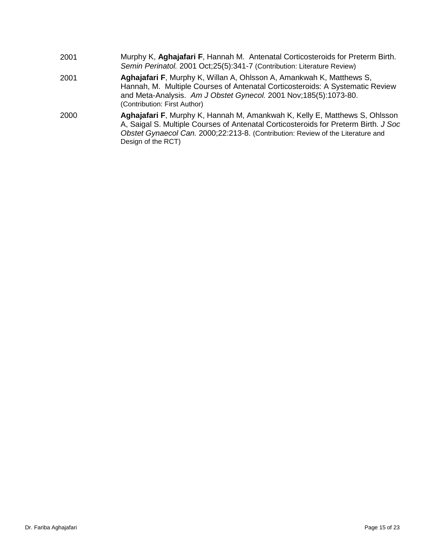| 2001 | Murphy K, Aghajafari F, Hannah M. Antenatal Corticosteroids for Preterm Birth.<br>Semin Perinatol. 2001 Oct;25(5):341-7 (Contribution: Literature Review)                                                                                                                  |
|------|----------------------------------------------------------------------------------------------------------------------------------------------------------------------------------------------------------------------------------------------------------------------------|
| 2001 | Aghajafari F, Murphy K, Willan A, Ohlsson A, Amankwah K, Matthews S,<br>Hannah, M. Multiple Courses of Antenatal Corticosteroids: A Systematic Review<br>and Meta-Analysis. Am J Obstet Gynecol. 2001 Nov;185(5):1073-80.<br>(Contribution: First Author)                  |
| 2000 | Aghajafari F, Murphy K, Hannah M, Amankwah K, Kelly E, Matthews S, Ohlsson<br>A, Saigal S. Multiple Courses of Antenatal Corticosteroids for Preterm Birth. J Soc<br>Obstet Gynaecol Can. 2000;22:213-8. (Contribution: Review of the Literature and<br>Design of the RCT) |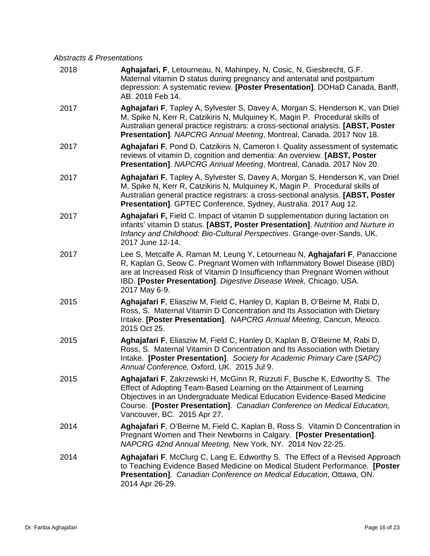#### *Abstracts & Presentations*

| 2018 | Aghajafari, F, Letourneau, N, Mahinpey, N, Cosic, N, Giesbrecht, G.F.<br>Maternal vitamin D status during pregnancy and antenatal and postpartum<br>depression: A systematic review. [Poster Presentation]. DOHaD Canada, Banff,<br>AB. 2018 Feb 14.                                                                                      |
|------|-------------------------------------------------------------------------------------------------------------------------------------------------------------------------------------------------------------------------------------------------------------------------------------------------------------------------------------------|
| 2017 | Aghajafari F, Tapley A, Sylvester S, Davey A, Morgan S, Henderson K, van Driel<br>M, Spike N, Kerr R, Catzikiris N, Mulquiney K, Magin P. Procedural skills of<br>Australian general practice registrars: a cross-sectional analysis. [ABST, Poster<br>Presentation]. NAPCRG Annual Meeting, Montreal, Canada. 2017 Nov 18.               |
| 2017 | Aghajafari F, Pond D, Catzikiris N, Cameron I. Quality assessment of systematic<br>reviews of vitamin D, cognition and dementia: An overview. [ABST, Poster<br>Presentation]. NAPCRG Annual Meeting, Montreal, Canada. 2017 Nov 20.                                                                                                       |
| 2017 | Aghajafari F, Tapley A, Sylvester S, Davey A, Morgan S, Henderson K, van Driel<br>M, Spike N, Kerr R, Catzikiris N, Mulquiney K, Magin P. Procedural skills of<br>Australian general practice registrars: a cross-sectional analysis. [ABST, Poster<br>Presentation]. GPTEC Conference, Sydney, Australia. 2017 Aug 12.                   |
| 2017 | Aghajafari F, Field C. Impact of vitamin D supplementation during lactation on<br>infants' vitamin D status. [ABST, Poster Presentation]. Nutrition and Nurture in<br>Infancy and Childhood: Bio-Cultural Perspectives. Grange-over-Sands, UK.<br>2017 June 12-14.                                                                        |
| 2017 | Lee S, Metcalfe A, Raman M, Leung Y, Letourneau N, Aghajafari F, Panaccione<br>R, Kaplan G, Seow C. Pregnant Women with Inflammatory Bowel Disease (IBD)<br>are at Increased Risk of Vitamin D Insufficiency than Pregnant Women without<br>IBD. [Poster Presentation]. Digestive Disease Week, Chicago, USA.<br>2017 May 6-9.            |
| 2015 | Aghajafari F, Eliasziw M, Field C, Hanley D, Kaplan B, O'Beirne M, Rabi D,<br>Ross, S. Maternal Vitamin D Concentration and Its Association with Dietary<br>Intake. [Poster Presentation]. NAPCRG Annual Meeting, Cancun, Mexico.<br>2015 Oct 25.                                                                                         |
| 2015 | Aghajafari F, Eliasziw M, Field C, Hanley D, Kaplan B, O'Beirne M, Rabi D,<br>Ross, S. Maternal Vitamin D Concentration and Its Association with Dietary<br>Intake. [Poster Presentation]. Society for Academic Primary Care (SAPC)<br>Annual Conference, Oxford, UK. 2015 Jul 9.                                                         |
| 2015 | Aghajafari F, Zakrzewski H, McGinn R, Rizzuti F, Busche K, Edworthy S. The<br>Effect of Adopting Team-Based Learning on the Attainment of Learning<br>Objectives in an Undergraduate Medical Education Evidence-Based Medicine<br>Course. [Poster Presentation]. Canadian Conference on Medical Education,<br>Vancouver, BC. 2015 Apr 27. |
| 2014 | Aghajafari F, O'Beirne M, Field C, Kaplan B, Ross S. Vitamin D Concentration in<br>Pregnant Women and Their Newborns in Calgary. [Poster Presentation].<br>NAPCRG 42nd Annual Meeting, New York, NY. 2014 Nov 22-25.                                                                                                                      |
| 2014 | Aghajafari F, McClurg C, Lang E, Edworthy S. The Effect of a Revised Approach<br>to Teaching Evidence Based Medicine on Medical Student Performance. [Poster<br>Presentation]. Canadian Conference on Medical Education, Ottawa, ON.<br>2014 Apr 26-29.                                                                                   |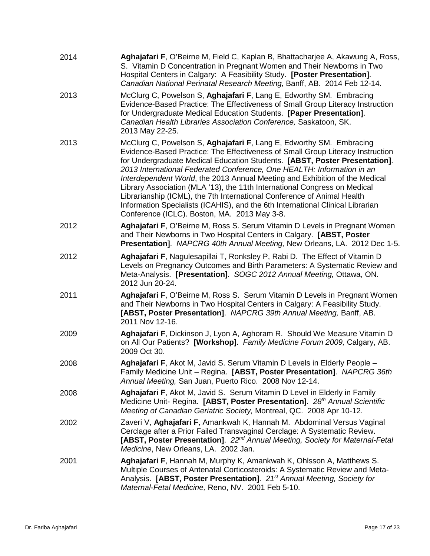| 2014 | Aghajafari F, O'Beirne M, Field C, Kaplan B, Bhattacharjee A, Akawung A, Ross,<br>S. Vitamin D Concentration in Pregnant Women and Their Newborns in Two<br>Hospital Centers in Calgary: A Feasibility Study. [Poster Presentation].<br>Canadian National Perinatal Research Meeting, Banff, AB. 2014 Feb 12-14.                                                                                                                                                                                                                                                                                                                                                                       |
|------|----------------------------------------------------------------------------------------------------------------------------------------------------------------------------------------------------------------------------------------------------------------------------------------------------------------------------------------------------------------------------------------------------------------------------------------------------------------------------------------------------------------------------------------------------------------------------------------------------------------------------------------------------------------------------------------|
| 2013 | McClurg C, Powelson S, Aghajafari F, Lang E, Edworthy SM. Embracing<br>Evidence-Based Practice: The Effectiveness of Small Group Literacy Instruction<br>for Undergraduate Medical Education Students. [Paper Presentation].<br>Canadian Health Libraries Association Conference, Saskatoon, SK.<br>2013 May 22-25.                                                                                                                                                                                                                                                                                                                                                                    |
| 2013 | McClurg C, Powelson S, Aghajafari F, Lang E, Edworthy SM. Embracing<br>Evidence-Based Practice: The Effectiveness of Small Group Literacy Instruction<br>for Undergraduate Medical Education Students. [ABST, Poster Presentation].<br>2013 International Federated Conference, One HEALTH: Information in an<br>Interdependent World, the 2013 Annual Meeting and Exhibition of the Medical<br>Library Association (MLA '13), the 11th International Congress on Medical<br>Librarianship (ICML), the 7th International Conference of Animal Health<br>Information Specialists (ICAHIS), and the 6th International Clinical Librarian<br>Conference (ICLC). Boston, MA. 2013 May 3-8. |
| 2012 | Aghajafari F, O'Beirne M, Ross S. Serum Vitamin D Levels in Pregnant Women<br>and Their Newborns in Two Hospital Centers in Calgary. [ABST, Poster<br>Presentation]. NAPCRG 40th Annual Meeting, New Orleans, LA. 2012 Dec 1-5.                                                                                                                                                                                                                                                                                                                                                                                                                                                        |
| 2012 | Aghajafari F, Nagulesapillai T, Ronksley P, Rabi D. The Effect of Vitamin D<br>Levels on Pregnancy Outcomes and Birth Parameters: A Systematic Review and<br>Meta-Analysis. [Presentation]. SOGC 2012 Annual Meeting, Ottawa, ON.<br>2012 Jun 20-24.                                                                                                                                                                                                                                                                                                                                                                                                                                   |
| 2011 | Aghajafari F, O'Beirne M, Ross S. Serum Vitamin D Levels in Pregnant Women<br>and Their Newborns in Two Hospital Centers in Calgary: A Feasibility Study.<br>[ABST, Poster Presentation]. NAPCRG 39th Annual Meeting, Banff, AB.<br>2011 Nov 12-16.                                                                                                                                                                                                                                                                                                                                                                                                                                    |
| 2009 | Aghajafari F, Dickinson J, Lyon A, Aghoram R. Should We Measure Vitamin D<br>on All Our Patients? [Workshop]. Family Medicine Forum 2009, Calgary, AB.<br>2009 Oct 30.                                                                                                                                                                                                                                                                                                                                                                                                                                                                                                                 |
| 2008 | Aghajafari F, Akot M, Javid S. Serum Vitamin D Levels in Elderly People -<br>Family Medicine Unit - Regina. [ABST, Poster Presentation]. NAPCRG 36th<br>Annual Meeting, San Juan, Puerto Rico. 2008 Nov 12-14.                                                                                                                                                                                                                                                                                                                                                                                                                                                                         |
| 2008 | Aghajafari F, Akot M, Javid S. Serum Vitamin D Level in Elderly in Family<br>Medicine Unit- Regina. [ABST, Poster Presentation]. 28 <sup>th</sup> Annual Scientific<br>Meeting of Canadian Geriatric Society, Montreal, QC. 2008 Apr 10-12.                                                                                                                                                                                                                                                                                                                                                                                                                                            |
| 2002 | Zaveri V, Aghajafari F, Amankwah K, Hannah M. Abdominal Versus Vaginal<br>Cerclage after a Prior Failed Transvaginal Cerclage: A Systematic Review.<br>[ABST, Poster Presentation]. 22 <sup>nd</sup> Annual Meeting, Society for Maternal-Fetal<br>Medicine, New Orleans, LA. 2002 Jan.                                                                                                                                                                                                                                                                                                                                                                                                |
| 2001 | Aghajafari F, Hannah M, Murphy K, Amankwah K, Ohlsson A, Matthews S.<br>Multiple Courses of Antenatal Corticosteroids: A Systematic Review and Meta-<br>Analysis. [ABST, Poster Presentation]. 21 <sup>st</sup> Annual Meeting, Society for<br>Maternal-Fetal Medicine, Reno, NV. 2001 Feb 5-10.                                                                                                                                                                                                                                                                                                                                                                                       |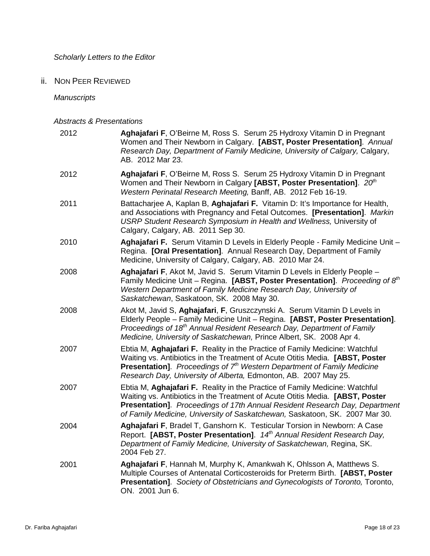*Scholarly Letters to the Editor* 

ii. NON PEER REVIEWED

*Manuscripts* 

|  |  | <b>Abstracts &amp; Presentations</b> |
|--|--|--------------------------------------|
|--|--|--------------------------------------|

| 2012 | Aghajafari F, O'Beirne M, Ross S. Serum 25 Hydroxy Vitamin D in Pregnant<br>Women and Their Newborn in Calgary. [ABST, Poster Presentation]. Annual<br>Research Day, Department of Family Medicine, University of Calgary, Calgary,<br>AB. 2012 Mar 23.                                                                    |
|------|----------------------------------------------------------------------------------------------------------------------------------------------------------------------------------------------------------------------------------------------------------------------------------------------------------------------------|
| 2012 | Aghajafari F, O'Beirne M, Ross S. Serum 25 Hydroxy Vitamin D in Pregnant<br>Women and Their Newborn in Calgary [ABST, Poster Presentation]. 20th<br>Western Perinatal Research Meeting, Banff, AB. 2012 Feb 16-19.                                                                                                         |
| 2011 | Battacharjee A, Kaplan B, Aghajafari F. Vitamin D: It's Importance for Health,<br>and Associations with Pregnancy and Fetal Outcomes. [Presentation]. Markin<br>USRP Student Research Symposium in Health and Wellness, University of<br>Calgary, Calgary, AB. 2011 Sep 30.                                                |
| 2010 | Aghajafari F. Serum Vitamin D Levels in Elderly People - Family Medicine Unit -<br>Regina. [Oral Presentation]. Annual Research Day, Department of Family<br>Medicine, University of Calgary, Calgary, AB. 2010 Mar 24.                                                                                                    |
| 2008 | Aghajafari F, Akot M, Javid S. Serum Vitamin D Levels in Elderly People -<br>Family Medicine Unit – Regina. [ABST, Poster Presentation]. Proceeding of $8th$<br>Western Department of Family Medicine Research Day, University of<br>Saskatchewan, Saskatoon, SK. 2008 May 30.                                             |
| 2008 | Akot M, Javid S, Aghajafari, F, Gruszczynski A. Serum Vitamin D Levels in<br>Elderly People - Family Medicine Unit - Regina. [ABST, Poster Presentation].<br>Proceedings of 18 <sup>th</sup> Annual Resident Research Day, Department of Family<br>Medicine, University of Saskatchewan, Prince Albert, SK. 2008 Apr 4.    |
| 2007 | Ebtia M, Aghajafari F. Reality in the Practice of Family Medicine: Watchful<br>Waiting vs. Antibiotics in the Treatment of Acute Otitis Media. [ABST, Poster<br><b>Presentation].</b> Proceedings of $7th$ Western Department of Family Medicine<br>Research Day, University of Alberta, Edmonton, AB. 2007 May 25.        |
| 2007 | Ebtia M, Aghajafari F. Reality in the Practice of Family Medicine: Watchful<br>Waiting vs. Antibiotics in the Treatment of Acute Otitis Media. [ABST, Poster<br>Presentation]. Proceedings of 17th Annual Resident Research Day, Department<br>of Family Medicine, University of Saskatchewan, Saskatoon, SK. 2007 Mar 30. |
| 2004 | Aghajafari F, Bradel T, Ganshorn K. Testicular Torsion in Newborn: A Case<br>Report. [ABST, Poster Presentation]. 14 <sup>th</sup> Annual Resident Research Day,<br>Department of Family Medicine, University of Saskatchewan, Regina, SK.<br>2004 Feb 27.                                                                 |
| 2001 | Aghajafari F, Hannah M, Murphy K, Amankwah K, Ohlsson A, Matthews S.<br>Multiple Courses of Antenatal Corticosteroids for Preterm Birth. [ABST, Poster<br>Presentation]. Society of Obstetricians and Gynecologists of Toronto, Toronto,<br>ON. 2001 Jun 6.                                                                |
|      |                                                                                                                                                                                                                                                                                                                            |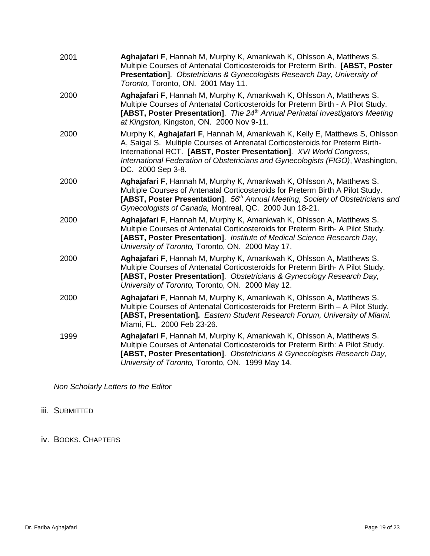| 2001 | Aghajafari F, Hannah M, Murphy K, Amankwah K, Ohlsson A, Matthews S.<br>Multiple Courses of Antenatal Corticosteroids for Preterm Birth. [ABST, Poster<br>Presentation]. Obstetricians & Gynecologists Research Day, University of<br>Toronto, Toronto, ON. 2001 May 11.                                                                   |
|------|--------------------------------------------------------------------------------------------------------------------------------------------------------------------------------------------------------------------------------------------------------------------------------------------------------------------------------------------|
| 2000 | Aghajafari F, Hannah M, Murphy K, Amankwah K, Ohlsson A, Matthews S.<br>Multiple Courses of Antenatal Corticosteroids for Preterm Birth - A Pilot Study.<br>[ABST, Poster Presentation]. The 24 <sup>th</sup> Annual Perinatal Investigators Meeting<br>at Kingston, Kingston, ON. 2000 Nov 9-11.                                          |
| 2000 | Murphy K, Aghajafari F, Hannah M, Amankwah K, Kelly E, Matthews S, Ohlsson<br>A, Saigal S. Multiple Courses of Antenatal Corticosteroids for Preterm Birth-<br>International RCT. [ABST, Poster Presentation]. XVI World Congress,<br>International Federation of Obstetricians and Gynecologists (FIGO), Washington,<br>DC. 2000 Sep 3-8. |
| 2000 | Aghajafari F, Hannah M, Murphy K, Amankwah K, Ohlsson A, Matthews S.<br>Multiple Courses of Antenatal Corticosteroids for Preterm Birth A Pilot Study.<br>[ABST, Poster Presentation]. 56 <sup>th</sup> Annual Meeting, Society of Obstetricians and<br>Gynecologists of Canada, Montreal, QC. 2000 Jun 18-21.                             |
| 2000 | Aghajafari F, Hannah M, Murphy K, Amankwah K, Ohlsson A, Matthews S.<br>Multiple Courses of Antenatal Corticosteroids for Preterm Birth- A Pilot Study.<br>[ABST, Poster Presentation]. Institute of Medical Science Research Day,<br>University of Toronto, Toronto, ON. 2000 May 17.                                                     |
| 2000 | Aghajafari F, Hannah M, Murphy K, Amankwah K, Ohlsson A, Matthews S.<br>Multiple Courses of Antenatal Corticosteroids for Preterm Birth- A Pilot Study.<br>[ABST, Poster Presentation]. Obstetricians & Gynecology Research Day,<br>University of Toronto, Toronto, ON. 2000 May 12.                                                       |
| 2000 | Aghajafari F, Hannah M, Murphy K, Amankwah K, Ohlsson A, Matthews S.<br>Multiple Courses of Antenatal Corticosteroids for Preterm Birth - A Pilot Study.<br>[ABST, Presentation]. Eastern Student Research Forum, University of Miami.<br>Miami, FL. 2000 Feb 23-26.                                                                       |
| 1999 | Aghajafari F, Hannah M, Murphy K, Amankwah K, Ohlsson A, Matthews S.<br>Multiple Courses of Antenatal Corticosteroids for Preterm Birth: A Pilot Study.<br>[ABST, Poster Presentation]. Obstetricians & Gynecologists Research Day,<br>University of Toronto, Toronto, ON. 1999 May 14.                                                    |

*Non Scholarly Letters to the Editor* 

### iii. SUBMITTED

iv. BOOKS, CHAPTERS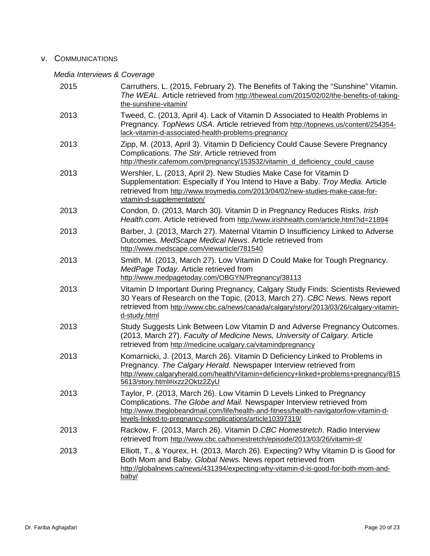#### v. COMMUNICATIONS

#### *Media Interviews & Coverage*

| 2015 | Carruthers, L. (2015, February 2). The Benefits of Taking the "Sunshine" Vitamin.<br>The WEAL. Article retrieved from http://theweal.com/2015/02/02/the-benefits-of-taking-<br>the-sunshine-vitamin/                                                                                                  |
|------|-------------------------------------------------------------------------------------------------------------------------------------------------------------------------------------------------------------------------------------------------------------------------------------------------------|
| 2013 | Tweed, C. (2013, April 4). Lack of Vitamin D Associated to Health Problems in<br>Pregnancy. TopNews USA. Article retrieved from http://topnews.us/content/254354-<br>lack-vitamin-d-associated-health-problems-pregnancy                                                                              |
| 2013 | Zipp, M. (2013, April 3). Vitamin D Deficiency Could Cause Severe Pregnancy<br>Complications. The Stir. Article retrieved from<br>http://thestir.cafemom.com/pregnancy/153532/vitamin_d_deficiency_could_cause                                                                                        |
| 2013 | Wershler, L. (2013, April 2). New Studies Make Case for Vitamin D<br>Supplementation: Especially if You Intend to Have a Baby. Troy Media. Article<br>retrieved from http://www.troymedia.com/2013/04/02/new-studies-make-case-for-<br>vitamin-d-supplementation/                                     |
| 2013 | Condon, D. (2013, March 30). Vitamin D in Pregnancy Reduces Risks. Irish<br>Health.com. Article retrieved from http://www.irishhealth.com/article.html?id=21894                                                                                                                                       |
| 2013 | Barber, J. (2013, March 27). Maternal Vitamin D Insufficiency Linked to Adverse<br>Outcomes. MedScape Medical News. Article retrieved from<br>http://www.medscape.com/viewarticle/781540                                                                                                              |
| 2013 | Smith, M. (2013, March 27). Low Vitamin D Could Make for Tough Pregnancy.<br>MedPage Today. Article retrieved from<br>http://www.medpagetoday.com/OBGYN/Pregnancy/38113                                                                                                                               |
| 2013 | Vitamin D Important During Pregnancy, Calgary Study Finds: Scientists Reviewed<br>30 Years of Research on the Topic. (2013, March 27). CBC News. News report<br>retrieved from http://www.cbc.ca/news/canada/calgary/story/2013/03/26/calgary-vitamin-<br>d-study.html                                |
| 2013 | Study Suggests Link Between Low Vitamin D and Adverse Pregnancy Outcomes.<br>(2013, March 27). Faculty of Medicine News, University of Calgary. Article<br>retrieved from http://medicine.ucalgary.ca/vitamindpregnancy                                                                               |
| 2013 | Komarnicki, J. (2013, March 26). Vitamin D Deficiency Linked to Problems in<br>Pregnancy. The Calgary Herald. Newspaper Interview retrieved from<br>http://www.calgaryherald.com/health/Vitamin+deficiency+linked+problems+pregnancy/815<br>5613/story.html#ixzz2Oktz2ZyU                             |
| 2013 | Taylor, P. (2013, March 26). Low Vitamin D Levels Linked to Pregnancy<br>Complications. The Globe and Mail. Newspaper Interview retrieved from<br>http://www.theglobeandmail.com/life/health-and-fitness/health-navigator/low-vitamin-d-<br>levels-linked-to-pregnancy-complications/article10397319/ |
| 2013 | Rackow, F. (2013, March 26). Vitamin D.CBC Homestretch. Radio Interview<br>retrieved from http://www.cbc.ca/homestretch/episode/2013/03/26/vitamin-d/                                                                                                                                                 |
| 2013 | Elliott, T., & Yourex, H. (2013, March 26). Expecting? Why Vitamin D is Good for<br>Both Mom and Baby. Global News. News report retrieved from<br>http://globalnews.ca/news/431394/expecting-why-vitamin-d-is-good-for-both-mom-and-<br>baby/                                                         |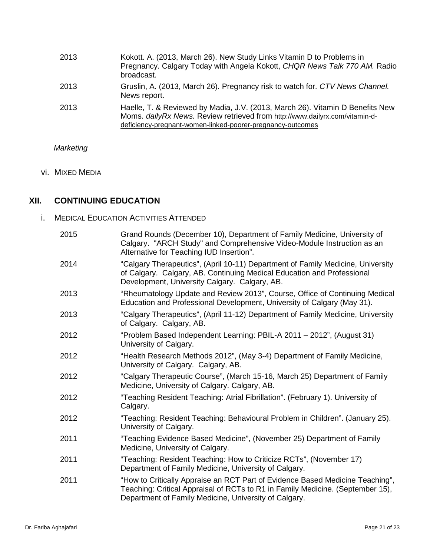| 2013 | Kokott. A. (2013, March 26). New Study Links Vitamin D to Problems in<br>Pregnancy. Calgary Today with Angela Kokott, CHQR News Talk 770 AM. Radio<br>broadcast.                                                            |
|------|-----------------------------------------------------------------------------------------------------------------------------------------------------------------------------------------------------------------------------|
| 2013 | Gruslin, A. (2013, March 26). Pregnancy risk to watch for. CTV News Channel.<br>News report.                                                                                                                                |
| 2013 | Haelle, T. & Reviewed by Madia, J.V. (2013, March 26). Vitamin D Benefits New<br>Moms. daily Rx News. Review retrieved from http://www.dailyrx.com/vitamin-d-<br>deficiency-pregnant-women-linked-poorer-pregnancy-outcomes |

*Marketing* 

vi. MIXED MEDIA

## **XII. CONTINUING EDUCATION**

i. MEDICAL EDUCATION ACTIVITIES ATTENDED

| 2015 | Grand Rounds (December 10), Department of Family Medicine, University of<br>Calgary. "ARCH Study" and Comprehensive Video-Module Instruction as an<br>Alternative for Teaching IUD Insertion".                           |
|------|--------------------------------------------------------------------------------------------------------------------------------------------------------------------------------------------------------------------------|
| 2014 | "Calgary Therapeutics", (April 10-11) Department of Family Medicine, University<br>of Calgary. Calgary, AB. Continuing Medical Education and Professional<br>Development, University Calgary. Calgary, AB.               |
| 2013 | "Rheumatology Update and Review 2013", Course, Office of Continuing Medical<br>Education and Professional Development, University of Calgary (May 31).                                                                   |
| 2013 | "Calgary Therapeutics", (April 11-12) Department of Family Medicine, University<br>of Calgary. Calgary, AB.                                                                                                              |
| 2012 | "Problem Based Independent Learning: PBIL-A 2011 - 2012", (August 31)<br>University of Calgary.                                                                                                                          |
| 2012 | "Health Research Methods 2012", (May 3-4) Department of Family Medicine,<br>University of Calgary. Calgary, AB.                                                                                                          |
| 2012 | "Calgary Therapeutic Course", (March 15-16, March 25) Department of Family<br>Medicine, University of Calgary. Calgary, AB.                                                                                              |
| 2012 | "Teaching Resident Teaching: Atrial Fibrillation". (February 1). University of<br>Calgary.                                                                                                                               |
| 2012 | "Teaching: Resident Teaching: Behavioural Problem in Children". (January 25).<br>University of Calgary.                                                                                                                  |
| 2011 | "Teaching Evidence Based Medicine", (November 25) Department of Family<br>Medicine, University of Calgary.                                                                                                               |
| 2011 | "Teaching: Resident Teaching: How to Criticize RCTs", (November 17)<br>Department of Family Medicine, University of Calgary.                                                                                             |
| 2011 | "How to Critically Appraise an RCT Part of Evidence Based Medicine Teaching",<br>Teaching: Critical Appraisal of RCTs to R1 in Family Medicine. (September 15),<br>Department of Family Medicine, University of Calgary. |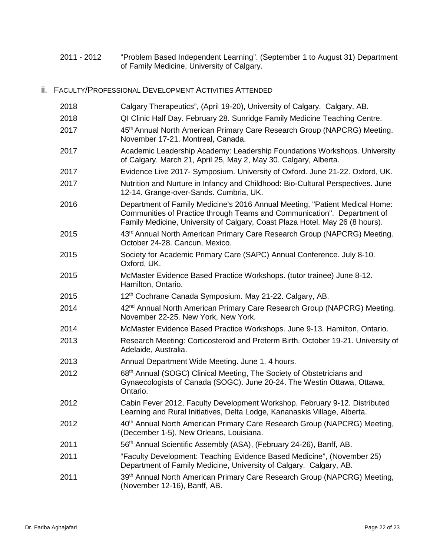- 2011 2012 "Problem Based Independent Learning". (September 1 to August 31) Department of Family Medicine, University of Calgary.
- ii. FACULTY/PROFESSIONAL DEVELOPMENT ACTIVITIES ATTENDED

| 2018 | Calgary Therapeutics", (April 19-20), University of Calgary. Calgary, AB.                                                                                                                                                              |
|------|----------------------------------------------------------------------------------------------------------------------------------------------------------------------------------------------------------------------------------------|
| 2018 | QI Clinic Half Day. February 28. Sunridge Family Medicine Teaching Centre.                                                                                                                                                             |
| 2017 | 45th Annual North American Primary Care Research Group (NAPCRG) Meeting.<br>November 17-21. Montreal, Canada.                                                                                                                          |
| 2017 | Academic Leadership Academy: Leadership Foundations Workshops. University<br>of Calgary. March 21, April 25, May 2, May 30. Calgary, Alberta.                                                                                          |
| 2017 | Evidence Live 2017- Symposium. University of Oxford. June 21-22. Oxford, UK.                                                                                                                                                           |
| 2017 | Nutrition and Nurture in Infancy and Childhood: Bio-Cultural Perspectives. June<br>12-14. Grange-over-Sands. Cumbria, UK.                                                                                                              |
| 2016 | Department of Family Medicine's 2016 Annual Meeting, "Patient Medical Home:<br>Communities of Practice through Teams and Communication". Department of<br>Family Medicine, University of Calgary, Coast Plaza Hotel. May 26 (8 hours). |
| 2015 | 43 <sup>rd</sup> Annual North American Primary Care Research Group (NAPCRG) Meeting.<br>October 24-28. Cancun, Mexico.                                                                                                                 |
| 2015 | Society for Academic Primary Care (SAPC) Annual Conference. July 8-10.<br>Oxford, UK.                                                                                                                                                  |
| 2015 | McMaster Evidence Based Practice Workshops. (tutor trainee) June 8-12.<br>Hamilton, Ontario.                                                                                                                                           |
| 2015 | 12th Cochrane Canada Symposium. May 21-22. Calgary, AB.                                                                                                                                                                                |
| 2014 | 42 <sup>nd</sup> Annual North American Primary Care Research Group (NAPCRG) Meeting.<br>November 22-25. New York, New York.                                                                                                            |
| 2014 | McMaster Evidence Based Practice Workshops. June 9-13. Hamilton, Ontario.                                                                                                                                                              |
| 2013 | Research Meeting: Corticosteroid and Preterm Birth. October 19-21. University of<br>Adelaide, Australia.                                                                                                                               |
| 2013 | Annual Department Wide Meeting. June 1.4 hours.                                                                                                                                                                                        |
| 2012 | 68 <sup>th</sup> Annual (SOGC) Clinical Meeting, The Society of Obstetricians and<br>Gynaecologists of Canada (SOGC). June 20-24. The Westin Ottawa, Ottawa,<br>Ontario.                                                               |
| 2012 | Cabin Fever 2012, Faculty Development Workshop. February 9-12. Distributed<br>Learning and Rural Initiatives, Delta Lodge, Kananaskis Village, Alberta.                                                                                |
| 2012 | 40 <sup>th</sup> Annual North American Primary Care Research Group (NAPCRG) Meeting,<br>(December 1-5), New Orleans, Louisiana.                                                                                                        |
| 2011 | 56 <sup>th</sup> Annual Scientific Assembly (ASA), (February 24-26), Banff, AB.                                                                                                                                                        |
| 2011 | "Faculty Development: Teaching Evidence Based Medicine", (November 25)<br>Department of Family Medicine, University of Calgary. Calgary, AB.                                                                                           |
| 2011 | 39th Annual North American Primary Care Research Group (NAPCRG) Meeting,<br>(November 12-16), Banff, AB.                                                                                                                               |
|      |                                                                                                                                                                                                                                        |